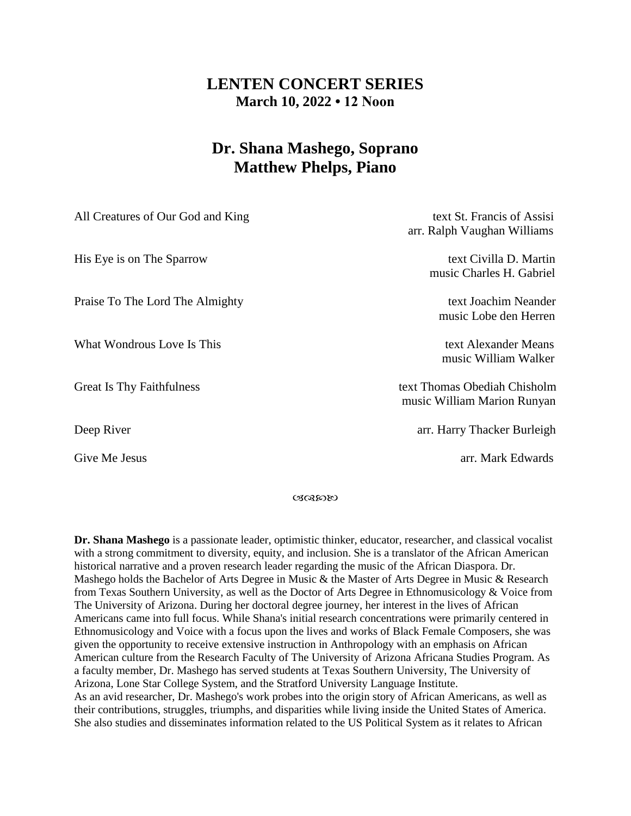## **LENTEN CONCERT SERIES March 10, 2022 • 12 Noon**

## **Dr. Shana Mashego, Soprano Matthew Phelps, Piano**

| All Creatures of Our God and King | text St. Francis of Assisi<br>arr. Ralph Vaughan Williams   |
|-----------------------------------|-------------------------------------------------------------|
| His Eye is on The Sparrow         | text Civilla D. Martin<br>music Charles H. Gabriel          |
| Praise To The Lord The Almighty   | text Joachim Neander<br>music Lobe den Herren               |
| What Wondrous Love Is This        | text Alexander Means<br>music William Walker                |
| <b>Great Is Thy Faithfulness</b>  | text Thomas Obediah Chisholm<br>music William Marion Runyan |
| Deep River                        | arr. Harry Thacker Burleigh                                 |
| Give Me Jesus                     | arr. Mark Edwards                                           |

いいのめめ

**Dr. Shana Mashego** is a passionate leader, optimistic thinker, educator, researcher, and classical vocalist with a strong commitment to diversity, equity, and inclusion. She is a translator of the African American historical narrative and a proven research leader regarding the music of the African Diaspora. Dr. Mashego holds the Bachelor of Arts Degree in Music & the Master of Arts Degree in Music & Research from Texas Southern University, as well as the Doctor of Arts Degree in Ethnomusicology & Voice from The University of Arizona. During her doctoral degree journey, her interest in the lives of African Americans came into full focus. While Shana's initial research concentrations were primarily centered in Ethnomusicology and Voice with a focus upon the lives and works of Black Female Composers, she was given the opportunity to receive extensive instruction in Anthropology with an emphasis on African American culture from the Research Faculty of The University of Arizona Africana Studies Program. As a faculty member, Dr. Mashego has served students at Texas Southern University, The University of Arizona, Lone Star College System, and the Stratford University Language Institute. As an avid researcher, Dr. Mashego's work probes into the origin story of African Americans, as well as their contributions, struggles, triumphs, and disparities while living inside the United States of America. She also studies and disseminates information related to the US Political System as it relates to African